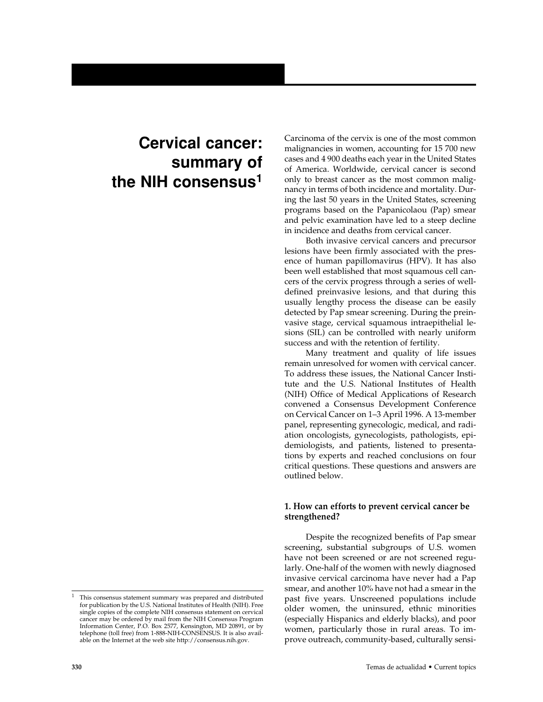# **Cervical cancer: summary of the NIH consensus1**

Carcinoma of the cervix is one of the most common malignancies in women, accounting for 15 700 new cases and 4 900 deaths each year in the United States of America. Worldwide, cervical cancer is second only to breast cancer as the most common malignancy in terms of both incidence and mortality. During the last 50 years in the United States, screening programs based on the Papanicolaou (Pap) smear and pelvic examination have led to a steep decline in incidence and deaths from cervical cancer.

Both invasive cervical cancers and precursor lesions have been firmly associated with the presence of human papillomavirus (HPV). It has also been well established that most squamous cell cancers of the cervix progress through a series of welldefined preinvasive lesions, and that during this usually lengthy process the disease can be easily detected by Pap smear screening. During the preinvasive stage, cervical squamous intraepithelial lesions (SIL) can be controlled with nearly uniform success and with the retention of fertility.

Many treatment and quality of life issues remain unresolved for women with cervical cancer. To address these issues, the National Cancer Institute and the U.S. National Institutes of Health (NIH) Office of Medical Applications of Research convened a Consensus Development Conference on Cervical Cancer on 1–3 April 1996. A 13-member panel, representing gynecologic, medical, and radiation oncologists, gynecologists, pathologists, epidemiologists, and patients, listened to presentations by experts and reached conclusions on four critical questions. These questions and answers are outlined below.

## **1. How can efforts to prevent cervical cancer be strengthened?**

Despite the recognized benefits of Pap smear screening, substantial subgroups of U.S. women have not been screened or are not screened regularly. One-half of the women with newly diagnosed invasive cervical carcinoma have never had a Pap smear, and another 10% have not had a smear in the past five years. Unscreened populations include older women, the uninsured, ethnic minorities (especially Hispanics and elderly blacks), and poor women, particularly those in rural areas. To improve outreach, community-based, culturally sensi-

This consensus statement summary was prepared and distributed for publication by the U.S. National Institutes of Health (NIH). Free single copies of the complete NIH consensus statement on cervical cancer may be ordered by mail from the NIH Consensus Program Information Center, P.O. Box 2577, Kensington, MD 20891, or by telephone (toll free) from 1-888-NIH-CONSENSUS. It is also available on the Internet at the web site http://consensus.nih.gov.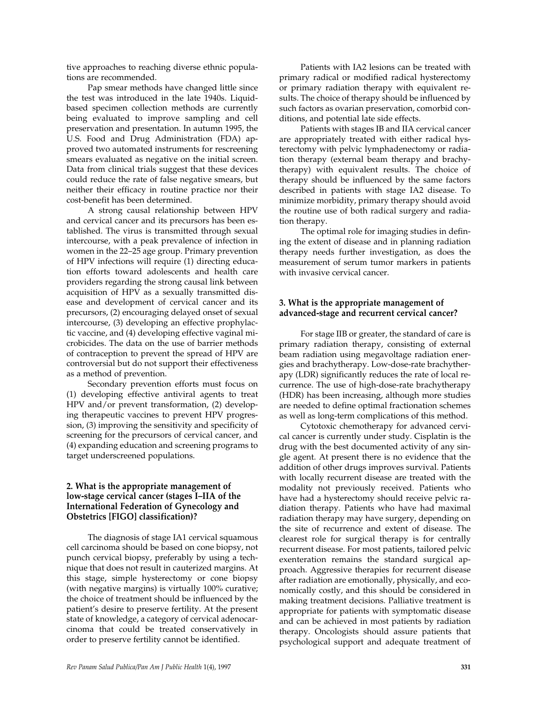tive approaches to reaching diverse ethnic populations are recommended.

Pap smear methods have changed little since the test was introduced in the late 1940s. Liquidbased specimen collection methods are currently being evaluated to improve sampling and cell preservation and presentation. In autumn 1995, the U.S. Food and Drug Administration (FDA) approved two automated instruments for rescreening smears evaluated as negative on the initial screen. Data from clinical trials suggest that these devices could reduce the rate of false negative smears, but neither their efficacy in routine practice nor their cost-benefit has been determined.

A strong causal relationship between HPV and cervical cancer and its precursors has been established. The virus is transmitted through sexual intercourse, with a peak prevalence of infection in women in the 22–25 age group. Primary prevention of HPV infections will require (1) directing education efforts toward adolescents and health care providers regarding the strong causal link between acquisition of HPV as a sexually transmitted disease and development of cervical cancer and its precursors, (2) encouraging delayed onset of sexual intercourse, (3) developing an effective prophylactic vaccine, and (4) developing effective vaginal microbicides. The data on the use of barrier methods of contraception to prevent the spread of HPV are controversial but do not support their effectiveness as a method of prevention.

Secondary prevention efforts must focus on (1) developing effective antiviral agents to treat HPV and/or prevent transformation, (2) developing therapeutic vaccines to prevent HPV progression, (3) improving the sensitivity and specificity of screening for the precursors of cervical cancer, and (4) expanding education and screening programs to target underscreened populations.

#### **2. What is the appropriate management of low-stage cervical cancer (stages I–IIA of the International Federation of Gynecology and Obstetrics [FIGO] classification)?**

The diagnosis of stage IA1 cervical squamous cell carcinoma should be based on cone biopsy, not punch cervical biopsy, preferably by using a technique that does not result in cauterized margins. At this stage, simple hysterectomy or cone biopsy (with negative margins) is virtually 100% curative; the choice of treatment should be influenced by the patient's desire to preserve fertility. At the present state of knowledge, a category of cervical adenocarcinoma that could be treated conservatively in order to preserve fertility cannot be identified.

Patients with IA2 lesions can be treated with primary radical or modified radical hysterectomy or primary radiation therapy with equivalent results. The choice of therapy should be influenced by such factors as ovarian preservation, comorbid conditions, and potential late side effects.

Patients with stages IB and IIA cervical cancer are appropriately treated with either radical hysterectomy with pelvic lymphadenectomy or radiation therapy (external beam therapy and brachytherapy) with equivalent results. The choice of therapy should be influenced by the same factors described in patients with stage IA2 disease. To minimize morbidity, primary therapy should avoid the routine use of both radical surgery and radiation therapy.

The optimal role for imaging studies in defining the extent of disease and in planning radiation therapy needs further investigation, as does the measurement of serum tumor markers in patients with invasive cervical cancer.

## **3. What is the appropriate management of advanced-stage and recurrent cervical cancer?**

For stage IIB or greater, the standard of care is primary radiation therapy, consisting of external beam radiation using megavoltage radiation energies and brachytherapy. Low-dose-rate brachytherapy (LDR) significantly reduces the rate of local recurrence. The use of high-dose-rate brachytherapy (HDR) has been increasing, although more studies are needed to define optimal fractionation schemes as well as long-term complications of this method.

Cytotoxic chemotherapy for advanced cervical cancer is currently under study. Cisplatin is the drug with the best documented activity of any single agent. At present there is no evidence that the addition of other drugs improves survival. Patients with locally recurrent disease are treated with the modality not previously received. Patients who have had a hysterectomy should receive pelvic radiation therapy. Patients who have had maximal radiation therapy may have surgery, depending on the site of recurrence and extent of disease. The clearest role for surgical therapy is for centrally recurrent disease. For most patients, tailored pelvic exenteration remains the standard surgical approach. Aggressive therapies for recurrent disease after radiation are emotionally, physically, and economically costly, and this should be considered in making treatment decisions. Palliative treatment is appropriate for patients with symptomatic disease and can be achieved in most patients by radiation therapy. Oncologists should assure patients that psychological support and adequate treatment of